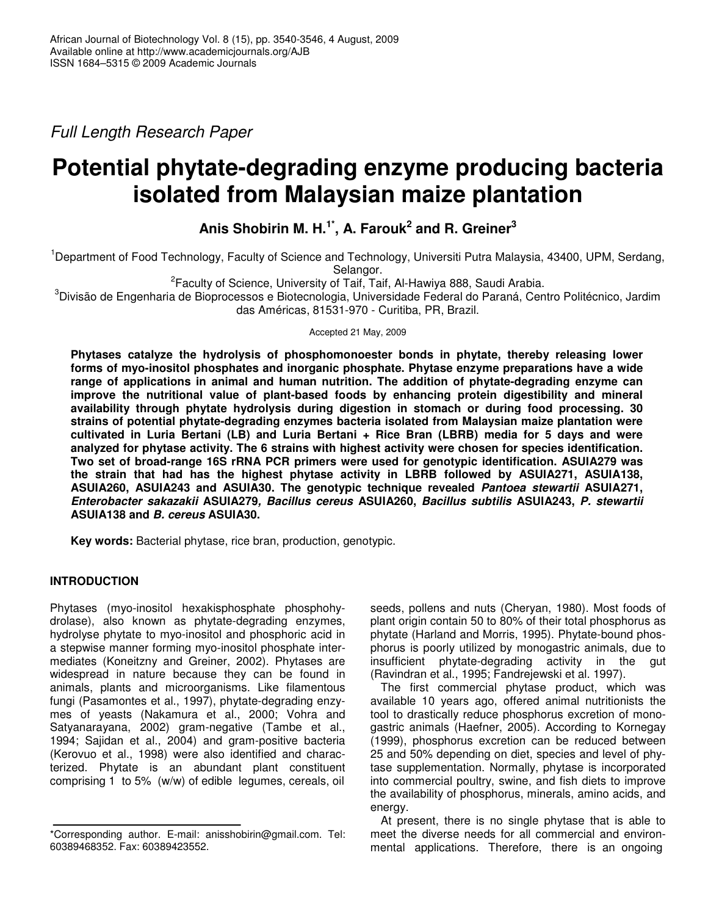*Full Length Research Paper*

# **Potential phytate-degrading enzyme producing bacteria isolated from Malaysian maize plantation**

## **Anis Shobirin M. H. 1\* , A. Farouk 2 and R. Greiner 3**

<sup>1</sup>Department of Food Technology, Faculty of Science and Technology, Universiti Putra Malaysia, 43400, UPM, Serdang, Selangor.

<sup>2</sup> Faculty of Science, University of Taif, Taif, Al-Hawiya 888, Saudi Arabia.

<sup>3</sup>Divisão de Engenharia de Bioprocessos e Biotecnologia, Universidade Federal do Paraná, Centro Politécnico, Jardim das Américas, 81531-970 - Curitiba, PR, Brazil.

Accepted 21 May, 2009

**Phytases catalyze the hydrolysis of phosphomonoester bonds in phytate, thereby releasing lower forms of myo-inositol phosphates and inorganic phosphate. Phytase enzyme preparations have a wide range of applications in animal and human nutrition. The addition of phytate-degrading enzyme can improve the nutritional value of plant-based foods by enhancing protein digestibility and mineral availability through phytate hydrolysis during digestion in stomach or during food processing. 30 strains of potential phytate-degrading enzymes bacteria isolated from Malaysian maize plantation were cultivated in Luria Bertani (LB) and Luria Bertani + Rice Bran (LBRB) media for 5 days and were analyzed for phytase activity. The 6 strains with highest activity were chosen for species identification. Two set of broad-range 16S rRNA PCR primers were used for genotypic identification. ASUIA279 was the strain that had has the highest phytase activity in LBRB followed by ASUIA271, ASUIA138, ASUIA260, ASUIA243 and ASUIA30. The genotypic technique revealed** *Pantoea stewartii* **ASUIA271,** *Enterobacter sakazakii* **ASUIA279***, Bacillus cereus* **ASUIA260,** *Bacillus subtilis* **ASUIA243,** *P. stewartii* **ASUIA138 and** *B. cereus* **ASUIA30.**

**Key words:** Bacterial phytase, rice bran, production, genotypic.

### **INTRODUCTION**

Phytases (myo-inositol hexakisphosphate phosphohydrolase), also known as phytate-degrading enzymes, hydrolyse phytate to myo-inositol and phosphoric acid in a stepwise manner forming myo-inositol phosphate intermediates (Koneitzny and Greiner, 2002). Phytases are widespread in nature because they can be found in animals, plants and microorganisms. Like filamentous fungi (Pasamontes et al., 1997), phytate-degrading enzymes of yeasts (Nakamura et al., 2000; Vohra and Satyanarayana, 2002) gram-negative (Tambe et al., 1994; Sajidan et al., 2004) and gram-positive bacteria (Kerovuo et al., 1998) were also identified and characterized. Phytate is an abundant plant constituent comprising 1 to 5% (w/w) of edible legumes, cereals, oil

seeds, pollens and nuts (Cheryan, 1980). Most foods of plant origin contain 50 to 80% of their total phosphorus as phytate (Harland and Morris, 1995). Phytate-bound phosphorus is poorly utilized by monogastric animals, due to insufficient phytate-degrading activity in the gut (Ravindran et al., 1995; Fandrejewski et al. 1997).

The first commercial phytase product, which was available 10 years ago, offered animal nutritionists the tool to drastically reduce phosphorus excretion of monogastric animals (Haefner, 2005). According to Kornegay (1999), phosphorus excretion can be reduced between 25 and 50% depending on diet, species and level of phytase supplementation. Normally, phytase is incorporated into commercial poultry, swine, and fish diets to improve the availability of phosphorus, minerals, amino acids, and energy.

At present, there is no single phytase that is able to meet the diverse needs for all commercial and environmental applications. Therefore, there is an ongoing

<sup>\*</sup>Corresponding author. E-mail: anisshobirin@gmail.com. Tel: 60389468352. Fax: 60389423552.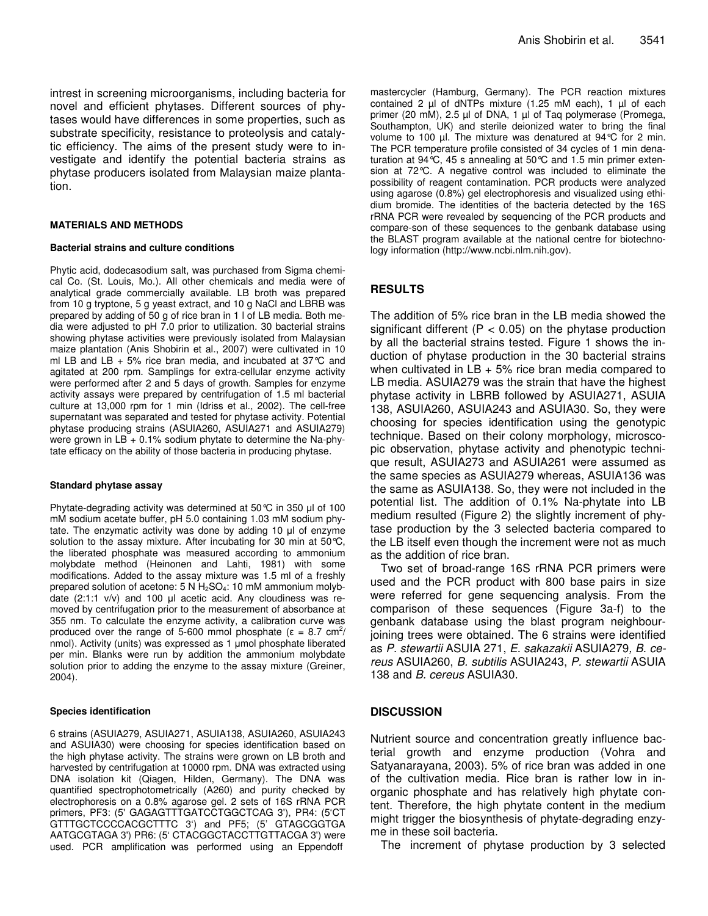intrest in screening microorganisms, including bacteria for novel and efficient phytases. Different sources of phytases would have differences in some properties, such as substrate specificity, resistance to proteolysis and catalytic efficiency. The aims of the present study were to investigate and identify the potential bacteria strains as phytase producers isolated from Malaysian maize plantation.

#### **MATERIALS AND METHODS**

#### **Bacterial strains and culture conditions**

Phytic acid, dodecasodium salt, was purchased from Sigma chemical Co. (St. Louis, Mo.). All other chemicals and media were of analytical grade commercially available. LB broth was prepared from 10 g tryptone, 5 g yeast extract, and 10 g NaCl and LBRB was prepared by adding of 50 g of rice bran in 1 l of LB media. Both media were adjusted to pH 7.0 prior to utilization. 30 bacterial strains showing phytase activities were previously isolated from Malaysian maize plantation (Anis Shobirin et al., 2007) were cultivated in 10 ml LB and LB + 5% rice bran media, and incubated at 37 $\degree$ C and agitated at 200 rpm. Samplings for extra-cellular enzyme activity were performed after 2 and 5 days of growth. Samples for enzyme activity assays were prepared by centrifugation of 1.5 ml bacterial culture at 13,000 rpm for 1 min (Idriss et al., 2002)*.* The cell-free supernatant was separated and tested for phytase activity. Potential phytase producing strains (ASUIA260, ASUIA271 and ASUIA279) were grown in  $LB + 0.1\%$  sodium phytate to determine the Na-phytate efficacy on the ability of those bacteria in producing phytase.

#### **Standard phytase assay**

Phytate-degrading activity was determined at 50 $\degree$ C in 350 µl of 100 mM sodium acetate buffer, pH 5.0 containing 1.03 mM sodium phytate. The enzymatic activity was done by adding 10 µl of enzyme solution to the assay mixture. After incubating for 30 min at 50 °C, the liberated phosphate was measured according to ammonium molybdate method (Heinonen and Lahti, 1981) with some modifications. Added to the assay mixture was 1.5 ml of a freshly prepared solution of acetone:  $5 N H_2SO_4$ : 10 mM ammonium molybdate  $(2:1:1 \text{ v/v})$  and 100 µl acetic acid. Any cloudiness was removed by centrifugation prior to the measurement of absorbance at 355 nm. To calculate the enzyme activity, a calibration curve was produced over the range of 5-600 mmol phosphate ( $\epsilon = 8.7$  cm<sup>2</sup>/ nmol). Activity (units) was expressed as 1 µmol phosphate liberated per min. Blanks were run by addition the ammonium molybdate solution prior to adding the enzyme to the assay mixture (Greiner, 2004).

#### **Species identification**

6 strains (ASUIA279, ASUIA271, ASUIA138, ASUIA260, ASUIA243 and ASUIA30) were choosing for species identification based on the high phytase activity. The strains were grown on LB broth and harvested by centrifugation at 10000 rpm. DNA was extracted using DNA isolation kit (Qiagen, Hilden, Germany). The DNA was quantified spectrophotometrically (A260) and purity checked by electrophoresis on a 0.8% agarose gel. 2 sets of 16S rRNA PCR primers, PF3: (5' GAGAGTTTGATCCTGGCTCAG 3'), PR4: (5'CT GTTTGCTCCCCACGCTTTC 3') and PF5; (5' GTAGCGGTGA AATGCGTAGA 3') PR6: (5' CTACGGCTACCTTGTTACGA 3') were used. PCR amplification was performed using an Eppendoff

mastercycler (Hamburg, Germany). The PCR reaction mixtures contained 2 µl of dNTPs mixture (1.25 mM each), 1 µl of each primer (20 mM), 2.5 µl of DNA, 1 µl of Taq polymerase (Promega, Southampton, UK) and sterile deionized water to bring the final volume to 100 µl. The mixture was denatured at 94 °C for 2 min. The PCR temperature profile consisted of 34 cycles of 1 min denaturation at 94°C, 45 s annealing at 50°C and 1.5 min primer extension at 72°C. A negative control was included to eliminate the possibility of reagent contamination. PCR products were analyzed using agarose (0.8%) gel electrophoresis and visualized using ethidium bromide. The identities of the bacteria detected by the 16S rRNA PCR were revealed by sequencing of the PCR products and compare-son of these sequences to the genbank database using the BLAST program available at the national centre for biotechnology information (http://www.ncbi.nlm.nih.gov).

#### **RESULTS**

The addition of 5% rice bran in the LB media showed the significant different ( $P < 0.05$ ) on the phytase production by all the bacterial strains tested. Figure 1 shows the induction of phytase production in the 30 bacterial strains when cultivated in  $LB + 5\%$  rice bran media compared to LB media. ASUIA279 was the strain that have the highest phytase activity in LBRB followed by ASUIA271, ASUIA 138, ASUIA260, ASUIA243 and ASUIA30. So, they were choosing for species identification using the genotypic technique. Based on their colony morphology, microscopic observation, phytase activity and phenotypic technique result, ASUIA273 and ASUIA261 were assumed as the same species as ASUIA279 whereas, ASUIA136 was the same as ASUIA138. So, they were not included in the potential list. The addition of 0.1% Na-phytate into LB medium resulted (Figure 2) the slightly increment of phytase production by the 3 selected bacteria compared to the LB itself even though the increment were not as much as the addition of rice bran.

Two set of broad-range 16S rRNA PCR primers were used and the PCR product with 800 base pairs in size were referred for gene sequencing analysis. From the comparison of these sequences (Figure 3a-f) to the genbank database using the blast program neighbourjoining trees were obtained. The 6 strains were identified as *P. stewartii* ASUIA 271, *E. sakazakii* ASUIA279*, B. cereus* ASUIA260, *B. subtilis* ASUIA243, *P. stewartii* ASUIA 138 and *B. cereus* ASUIA30.

#### **DISCUSSION**

Nutrient source and concentration greatly influence bacterial growth and enzyme production (Vohra and Satyanarayana, 2003). 5% of rice bran was added in one of the cultivation media. Rice bran is rather low in inorganic phosphate and has relatively high phytate content. Therefore, the high phytate content in the medium might trigger the biosynthesis of phytate-degrading enzyme in these soil bacteria.

The increment of phytase production by 3 selected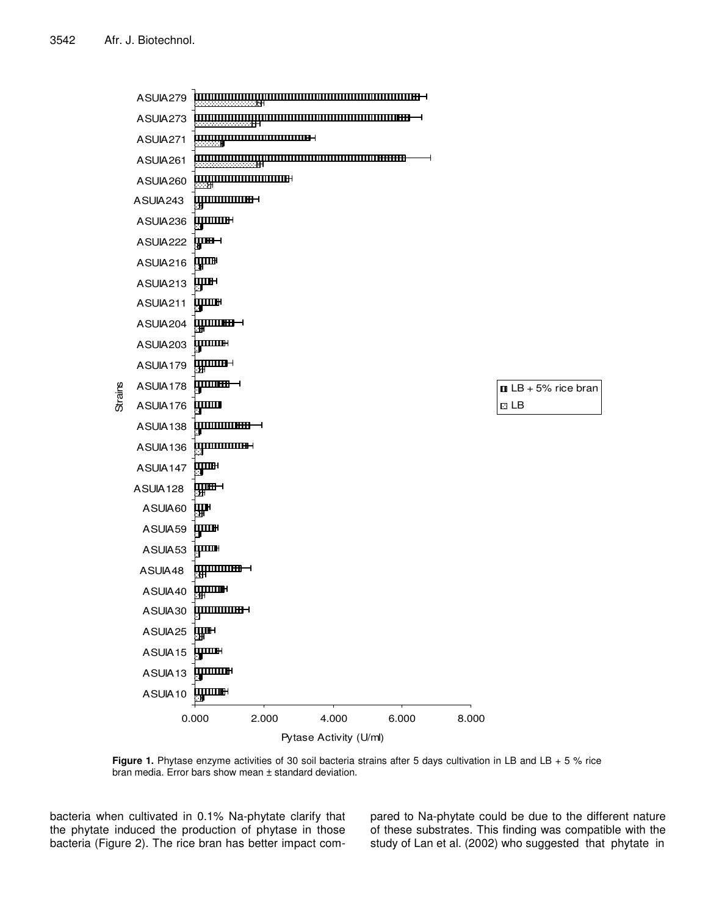ASUIA279 ASUIA273 <del>,,,,,,,,,,,,,,,,,,,,,,,,,,,,,,,,,,</del>, ASUIA271 ASUIA261 <u>UUUU ITTI TEEN HARA</u> ASUIA260 ununun s ASUIA243 पुण्णाम ASUIA236 प्राप्त ASUIA222 ЩШ ASUIA216 ЩШН ASUIA213 पुणास ASUIA211 .<br>I**WILITE<del>RI</del>** ASUIA204 **SIGREE SURFERE** ASUIA203 **प्राणाम** । ASUIA179 **humma**n⊣ **Strains** ASUIA178  $\blacksquare$  LB + 5% rice bran ASUIA176 प्राप्ता **DLB INTERNATIONAL PROPERTY (DESCRIPTION)** ASUIA138 **<u>igponomme</u>+** ASUIA136 ЩШН ASUIA147 प्राम− ASUIA128 щŀ ASUIA60 ЩШ ASUIA59 ASUIA53 iшшн **hummm+** ASUIA48 **upun** ASUIA40 ASUIA30 ЩШH ASUIA25 पुण्णस ASUIA15 ASUIA13 पुण्णाम **huune** ASUIA10 0.000 2.000 4.000 6.000 8.000 Pytase Activity (U/ml)

**Figure 1.** Phytase enzyme activities of 30 soil bacteria strains after 5 days cultivation in LB and LB + 5 % rice bran media. Error bars show mean ± standard deviation.

bacteria when cultivated in 0.1% Na-phytate clarify that the phytate induced the production of phytase in those bacteria (Figure 2). The rice bran has better impact compared to Na-phytate could be due to the different nature of these substrates. This finding was compatible with the study of Lan et al. (2002) who suggested that phytate in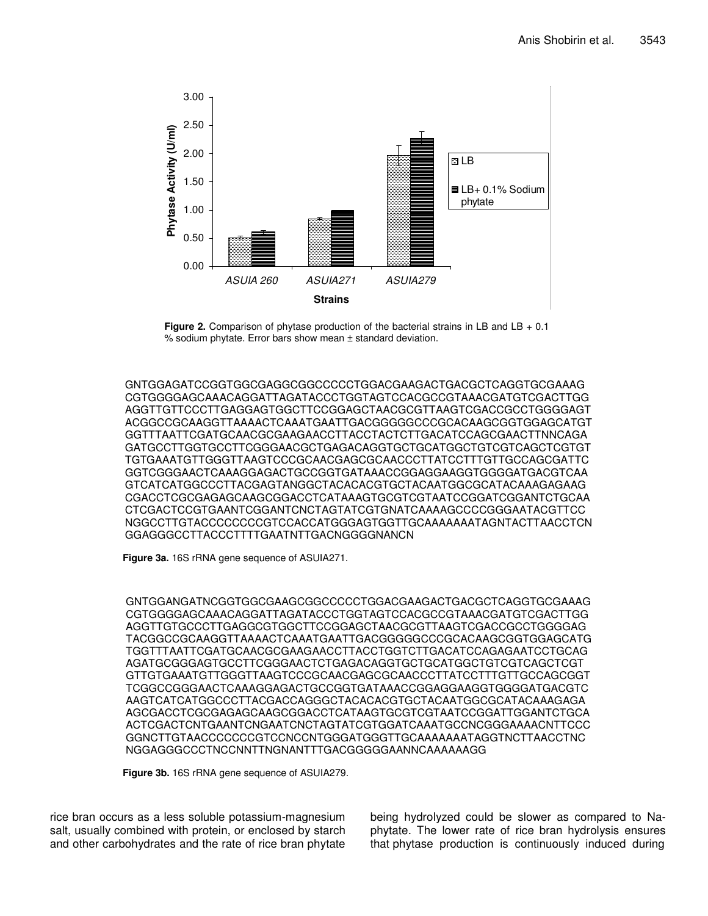

**Figure 2.** Comparison of phytase production of the bacterial strains in LB and LB + 0.1 % sodium phytate. Error bars show mean ± standard deviation.

GNTGGAGATCCGGTGGCGAGGCGGCCCCCTGGACGAAGACTGACGCTCAGGTGCGAAAG CGTGGGGAGCAAACAGGATTAGATACCCTGGTAGTCCACGCCGTAAACGATGTCGACTTGG AGGTTGTTCCCTTGAGGAGTGGCTTCCGGAGCTAACGCGTTAAGTCGACCGCCTGGGGAGT ACGGCCGCAAGGTTAAAACTCAAATGAATTGACGGGGGCCCGCACAAGCGGTGGAGCATGT GGTTTAATTCGATGCAACGCGAAGAACCTTACCTACTCTTGACATCCAGCGAACTTNNCAGA GATGCCTTGGTGCCTTCGGGAACGCTGAGACAGGTGCTGCATGGCTGTCGTCAGCTCGTGT TGTGAAATGTTGGGTTAAGTCCCGCAACGAGCGCAACCCTTATCCTTTGTTGCCAGCGATTC GGTCGGGAACTCAAAGGAGACTGCCGGTGATAAACCGGAGGAAGGTGGGGATGACGTCAA GTCATCATGGCCCTTACGAGTANGGCTACACACGTGCTACAATGGCGCATACAAAGAGAAG CGACCTCGCGAGAGCAAGCGGACCTCATAAAGTGCGTCGTAATCCGGATCGGANTCTGCAA CTCGACTCCGTGAANTCGGANTCNCTAGTATCGTGNATCAAAAGCCCCGGGAATACGTTCC NGGCCTTGTACCCCCCCCGTCCACCATGGGAGTGGTTGCAAAAAAATAGNTACTTAACCTCN GGAGGGCCTTACCCTTTTGAATNTTGACNGGGGNANCN

**Figure 3a.** 16S rRNA gene sequence of ASUIA271.

GNTGGANGATNCGGTGGCGAAGCGGCCCCCTGGACGAAGACTGACGCTCAGGTGCGAAAG CGTGGGGAGCAAACAGGATTAGATACCCTGGTAGTCCACGCCGTAAACGATGTCGACTTGG AGGTTGTGCCCTTGAGGCGTGGCTTCCGGAGCTAACGCGTTAAGTCGACCGCCTGGGGAG TACGGCCGCAAGGTTAAAACTCAAATGAATTGACGGGGGCCCGCACAAGCGGTGGAGCATG TGGTTTAATTCGATGCAACGCGAAGAACCTTACCTGGTCTTGACATCCAGAGAATCCTGCAG AGATGCGGGAGTGCCTTCGGGAACTCTGAGACAGGTGCTGCATGGCTGTCGTCAGCTCGT GTTGTGAAATGTTGGGTTAAGTCCCGCAACGAGCGCAACCCTTATCCTTTGTTGCCAGCGGT TCGGCCGGGAACTCAAAGGAGACTGCCGGTGATAAACCGGAGGAAGGTGGGGATGACGTC AAGTCATCATGGCCCTTACGACCAGGGCTACACACGTGCTACAATGGCGCATACAAAGAGA AGCGACCTCGCGAGAGCAAGCGGACCTCATAAGTGCGTCGTAATCCGGATTGGANTCTGCA ACTCGACTCNTGAANTCNGAATCNCTAGTATCGTGGATCAAATGCCNCGGGAAAACNTTCCC GGNCTTGTAACCCCCCCGTCCNCCNTGGGATGGGTTGCAAAAAAATAGGTNCTTAACCTNC NGGAGGGCCCTNCCNNTTNGNANTTTGACGGGGGAANNCAAAAAAGG

**Figure 3b.** 16S rRNA gene sequence of ASUIA279.

rice bran occurs as a less soluble potassium-magnesium salt, usually combined with protein, or enclosed by starch and other carbohydrates and the rate of rice bran phytate being hydrolyzed could be slower as compared to Naphytate. The lower rate of rice bran hydrolysis ensures that phytase production is continuously induced during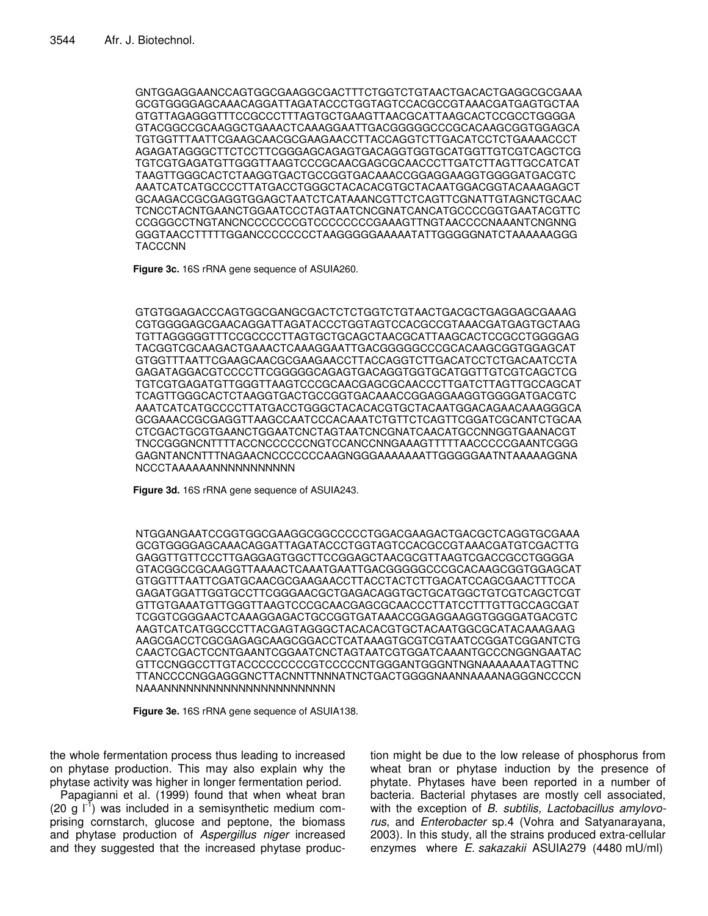GNTGGAGGAANCCAGTGGCGAAGGCGACTTTCTGGTCTGTAACTGACACTGAGGCGCGAAA GCGTGGGGAGCAAACAGGATTAGATACCCTGGTAGTCCACGCCGTAAACGATGAGTGCTAA GTGTTAGAGGGTTTCCGCCCTTTAGTGCTGAAGTTAACGCATTAAGCACTCCGCCTGGGGA GTACGGCCGCAAGGCTGAAACTCAAAGGAATTGACGGGGGCCCGCACAAGCGGTGGAGCA TGTGGTTTAATTCGAAGCAACGCGAAGAACCTTACCAGGTCTTGACATCCTCTGAAAACCCT AGAGATAGGGCTTCTCCTTCGGGAGCAGAGTGACAGGTGGTGCATGGTTGTCGTCAGCTCG TGTCGTGAGATGTTGGGTTAAGTCCCGCAACGAGCGCAACCCTTGATCTTAGTTGCCATCAT TAAGTTGGGCACTCTAAGGTGACTGCCGGTGACAAACCGGAGGAAGGTGGGGATGACGTC AAATCATCATGCCCCTTATGACCTGGGCTACACACGTGCTACAATGGACGGTACAAAGAGCT GCAAGACCGCGAGGTGGAGCTAATCTCATAAANCGTTCTCAGTTCGNATTGTAGNCTGCAAC TCNCCTACNTGAANCTGGAATCCCTAGTAATCNCGNATCANCATGCCCCGGTGAATACGTTC CCGGGCCTNGTANCNCCCCCCCGTCCCCCCCCGAAAGTTNGTAACCCCNAAANTCNGNNG GGGTAACCTTTTTGGANCCCCCCCCTAAGGGGGAAAAATATTGGGGGNATCTAAAAAAGGG TACCCNN

**Figure 3c.** 16S rRNA gene sequence of ASUIA260.

GTGTGGAGACCCAGTGGCGANGCGACTCTCTGGTCTGTAACTGACGCTGAGGAGCGAAAG CGTGGGGAGCGAACAGGATTAGATACCCTGGTAGTCCACGCCGTAAACGATGAGTGCTAAG TGTTAGGGGGTTTCCGCCCCTTAGTGCTGCAGCTAACGCATTAAGCACTCCGCCTGGGGAG TACGGTCGCAAGACTGAAACTCAAAGGAATTGACGGGGGCCCGCACAAGCGGTGGAGCAT GTGGTTTAATTCGAAGCAACGCGAAGAACCTTACCAGGTCTTGACATCCTCTGACAATCCTA GAGATAGGACGTCCCCTTCGGGGGCAGAGTGACAGGTGGTGCATGGTTGTCGTCAGCTCG TGTCGTGAGATGTTGGGTTAAGTCCCGCAACGAGCGCAACCCTTGATCTTAGTTGCCAGCAT TCAGTTGGGCACTCTAAGGTGACTGCCGGTGACAAACCGGAGGAAGGTGGGGATGACGTC AAATCATCATGCCCCTTATGACCTGGGCTACACACGTGCTACAATGGACAGAACAAAGGGCA GCGAAACCGCGAGGTTAAGCCAATCCCACAAATCTGTTCTCAGTTCGGATCGCANTCTGCAA CTCGACTGCGTGAANCTGGAATCNCTAGTAATCNCGNATCAACATGCCNNGGTGAANACGT TNCCGGGNCNTTTTACCNCCCCCCNGTCCANCCNNGAAAGTTTTTAACCCCCGAANTCGGG GAGNTANCNTTTNAGAACNCCCCCCCAAGNGGGAAAAAAATTGGGGGAATNTAAAAAGGNA NCCCTAAAAAANNNNNNNNNNN

**Figure 3d.** 16S rRNA gene sequence of ASUIA243.

NTGGANGAATCCGGTGGCGAAGGCGGCCCCCTGGACGAAGACTGACGCTCAGGTGCGAAA GCGTGGGGAGCAAACAGGATTAGATACCCTGGTAGTCCACGCCGTAAACGATGTCGACTTG GAGGTTGTTCCCTTGAGGAGTGGCTTCCGGAGCTAACGCGTTAAGTCGACCGCCTGGGGA GTACGGCCGCAAGGTTAAAACTCAAATGAATTGACGGGGGCCCGCACAAGCGGTGGAGCAT GTGGTTTAATTCGATGCAACGCGAAGAACCTTACCTACTCTTGACATCCAGCGAACTTTCCA GAGATGGATTGGTGCCTTCGGGAACGCTGAGACAGGTGCTGCATGGCTGTCGTCAGCTCGT GTTGTGAAATGTTGGGTTAAGTCCCGCAACGAGCGCAACCCTTATCCTTTGTTGCCAGCGAT TCGGTCGGGAACTCAAAGGAGACTGCCGGTGATAAACCGGAGGAAGGTGGGGATGACGTC AAGTCATCATGGCCCTTACGAGTAGGGCTACACACGTGCTACAATGGCGCATACAAAGAAG AAGCGACCTCGCGAGAGCAAGCGGACCTCATAAAGTGCGTCGTAATCCGGATCGGANTCTG CAACTCGACTCCNTGAANTCGGAATCNCTAGTAATCGTGGATCAAANTGCCCNGGNGAATAC GTTCCNGGCCTTGTACCCCCCCCCGTCCCCCNTGGGANTGGGNTNGNAAAAAAATAGTTNC TTANCCCCNGGAGGGNCTTACNNTTNNNATNCTGACTGGGGNAANNAAAANAGGGNCCCCN NAAANNNNNNNNNNNNNNNNNNNNNNN

**Figure 3e.** 16S rRNA gene sequence of ASUIA138.

the whole fermentation process thus leading to increased on phytase production. This may also explain why the phytase activity was higher in longer fermentation period.

Papagianni et al. (1999) found that when wheat bran (20 g  $I^{\dagger}$ ) was included in a semisynthetic medium comprising cornstarch, glucose and peptone, the biomass and phytase production of *Aspergillus niger* increased and they suggested that the increased phytase production might be due to the low release of phosphorus from wheat bran or phytase induction by the presence of phytate. Phytases have been reported in a number of bacteria. Bacterial phytases are mostly cell associated, with the exception of *B. subtilis, Lactobacillus amylovorus*, and *Enterobacter* sp.4 (Vohra and Satyanarayana, 2003)*.* In this study, all the strains produced extra-cellular enzymes where *E. sakazakii* ASUIA279 (4480 mU/ml)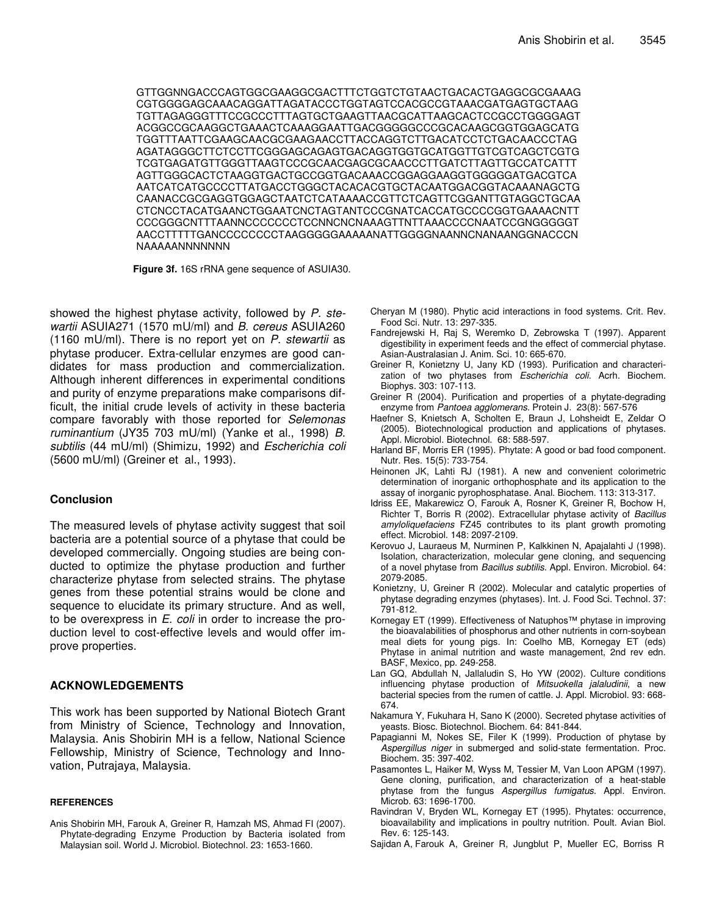GTTGGNNGACCCAGTGGCGAAGGCGACTTTCTGGTCTGTAACTGACACTGAGGCGCGAAAG CGTGGGGAGCAAACAGGATTAGATACCCTGGTAGTCCACGCCGTAAACGATGAGTGCTAAG TGTTAGAGGGTTTCCGCCCTTTAGTGCTGAAGTTAACGCATTAAGCACTCCGCCTGGGGAGT ACGGCCGCAAGGCTGAAACTCAAAGGAATTGACGGGGGCCCGCACAAGCGGTGGAGCATG TGGTTTAATTCGAAGCAACGCGAAGAACCTTACCAGGTCTTGACATCCTCTGACAACCCTAG AGATAGGGCTTCTCCTTCGGGAGCAGAGTGACAGGTGGTGCATGGTTGTCGTCAGCTCGTG TCGTGAGATGTTGGGTTAAGTCCCGCAACGAGCGCAACCCTTGATCTTAGTTGCCATCATTT AGTTGGGCACTCTAAGGTGACTGCCGGTGACAAACCGGAGGAAGGTGGGGGATGACGTCA AATCATCATGCCCCTTATGACCTGGGCTACACACGTGCTACAATGGACGGTACAAANAGCTG CAANACCGCGAGGTGGAGCTAATCTCATAAAACCGTTCTCAGTTCGGANTTGTAGGCTGCAA CTCNCCTACATGAANCTGGAATCNCTAGTANTCCCGNATCACCATGCCCCGGTGAAAACNTT CCCGGGCNTTTAANNCCCCCCCTCCNNCNCNAAAGTTNTTAAACCCCNAATCCGNGGGGGT AACCTTTTTGANCCCCCCCCTAAGGGGGAAAAANATTGGGGNAANNCNANAANGGNACCCN NAAAAANNNNNNN

**Figure 3f.** 16S rRNA gene sequence of ASUIA30.

showed the highest phytase activity, followed by *P. stewartii* ASUIA271 (1570 mU/ml) and *B. cereus* ASUIA260 (1160 mU/ml). There is no report yet on *P. stewartii* as phytase producer. Extra-cellular enzymes are good candidates for mass production and commercialization. Although inherent differences in experimental conditions and purity of enzyme preparations make comparisons difficult, the initial crude levels of activity in these bacteria compare favorably with those reported for *Selemonas ruminantium* (JY35 703 mU/ml) (Yanke et al., 1998) *B. subtilis* (44 mU/ml) (Shimizu, 1992) and *Escherichia coli* (5600 mU/ml) (Greiner et al., 1993).

#### **Conclusion**

The measured levels of phytase activity suggest that soil bacteria are a potential source of a phytase that could be developed commercially. Ongoing studies are being conducted to optimize the phytase production and further characterize phytase from selected strains. The phytase genes from these potential strains would be clone and sequence to elucidate its primary structure. And as well, to be overexpress in *E. coli* in order to increase the production level to cost-effective levels and would offer improve properties.

#### **ACKNOWLEDGEMENTS**

This work has been supported by National Biotech Grant from Ministry of Science, Technology and Innovation, Malaysia. Anis Shobirin MH is a fellow, National Science Fellowship, Ministry of Science, Technology and Innovation, Putrajaya, Malaysia.

#### **REFERENCES**

Anis Shobirin MH, Farouk A, Greiner R, Hamzah MS, Ahmad FI (2007). Phytate-degrading Enzyme Production by Bacteria isolated from Malaysian soil. World J. Microbiol. Biotechnol. 23: 1653-1660.

- Cheryan M (1980). Phytic acid interactions in food systems. Crit. Rev. Food Sci. Nutr*.* 13: 297-335.
- Fandrejewski H, Raj S, Weremko D, Zebrowska T (1997). Apparent digestibility in experiment feeds and the effect of commercial phytase. Asian-Australasian J. Anim. Sci*.* 10: 665-670.
- Greiner R, Konietzny U, Jany KD (1993). Purification and characterization of two phytases from *Escherichia coli*. Acrh. Biochem. Biophys*.* 303: 107-113.
- Greiner R (2004). Purification and properties of a phytate-degrading enzyme from *Pantoea agglomerans*. Protein J. 23(8): 567-576
- Haefner S, Knietsch A, Scholten E, Braun J, Lohsheidt E, Zeldar O (2005). Biotechnological production and applications of phytases. Appl. Microbiol. Biotechnol. 68: 588-597.
- Harland BF, Morris ER (1995). Phytate: A good or bad food component. Nutr. Res*.* 15(5): 733-754.
- Heinonen JK, Lahti RJ (1981). A new and convenient colorimetric determination of inorganic orthophosphate and its application to the assay of inorganic pyrophosphatase. Anal. Biochem. 113: 313-317.
- Idriss EE, Makarewicz O, Farouk A, Rosner K, Greiner R, Bochow H, Richter T, Borris R (2002). Extracellular phytase activity of *Bacillus amyloliquefaciens* FZ45 contributes to its plant growth promoting effect. Microbiol. 148: 2097-2109.
- Kerovuo J, Lauraeus M, Nurminen P, Kalkkinen N, Apajalahti J (1998). Isolation, characterization, molecular gene cloning, and sequencing of a novel phytase from *Bacillus subtilis*. Appl. Environ. Microbiol. 64: 2079-2085.
- Konietzny, U, Greiner R (2002). Molecular and catalytic properties of phytase degrading enzymes (phytases). Int. J. Food Sci. Technol*.* 37: 791-812.
- Kornegay ET (1999). Effectiveness of Natuphos™ phytase in improving the bioavalabilities of phosphorus and other nutrients in corn-soybean meal diets for young pigs. In: Coelho MB, Kornegay ET (eds) Phytase in animal nutrition and waste management, 2nd rev edn. BASF, Mexico, pp. 249-258.
- Lan GQ, Abdullah N, Jallaludin S, Ho YW (2002). Culture conditions influencing phytase production of *Mitsuokella jalaludinii*, a new bacterial species from the rumen of cattle. J. Appl. Microbiol. 93: 668- 674.
- Nakamura Y, Fukuhara H, Sano K (2000). Secreted phytase activities of yeasts. Biosc. Biotechnol. Biochem. 64: 841-844.
- Papagianni M, Nokes SE, Filer K (1999). Production of phytase by *Aspergillus niger* in submerged and solid-state fermentation. Proc. Biochem. 35: 397-402.
- Pasamontes L, Haiker M, Wyss M, Tessier M, Van Loon APGM (1997). Gene cloning, purification, and characterization of a heat-stable phytase from the fungus *Aspergillus fumigatus*. Appl. Environ. Microb. 63: 1696-1700.
- Ravindran V, Bryden WL, Kornegay ET (1995). Phytates: occurrence, bioavailability and implications in poultry nutrition. Poult. Avian Biol. Rev. 6: 125-143.
- Sajidan A, Farouk A, Greiner R, Jungblut P, Mueller EC, Borriss R